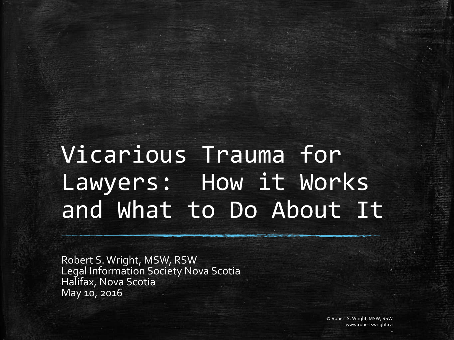# Vicarious Trauma for Lawyers: How it Works and What to Do About It

Robert S. Wright, MSW, RSW Legal Information Society Nova Scotia Halifax, Nova Scotia May 10, 2016

> © Robert S. Wright, MSW, RSW www.robertswright.ca

> > 1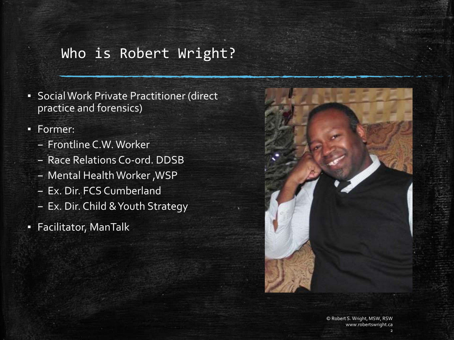# Who is Robert Wright?

- **Social Work Private Practitioner (direct)** practice and forensics)
- Former:
	- Frontline C.W. Worker
	- Race Relations Co-ord. DDSB
	- Mental Health Worker ,WSP
	- Ex. Dir. FCS Cumberland
	- Ex. Dir. Child & Youth Strategy
- Facilitator, ManTalk



2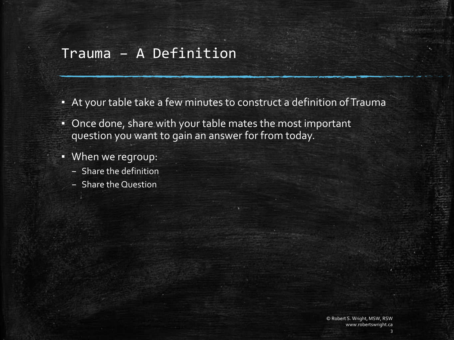#### Trauma – A Definition

- At your table take a few minutes to construct a definition of Trauma
- Once done, share with your table mates the most important question you want to gain an answer for from today.
- When we regroup:
	- Share the definition
	- Share the Question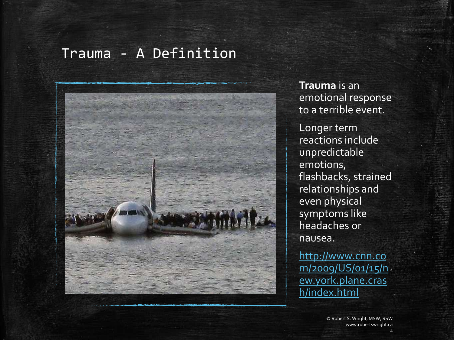### Trauma - A Definition



**Trauma** is an emotional response to a terrible event.

Longer term reactions include unpredictable emotions, flashbacks, strained relationships and even physical symptoms like headaches or nausea.

http://www.cnn.co [m/2009/US/01/15/n](http://www.cnn.com/2009/US/01/15/new.york.plane.crash/index.html) ew.york.plane.cras h/index.html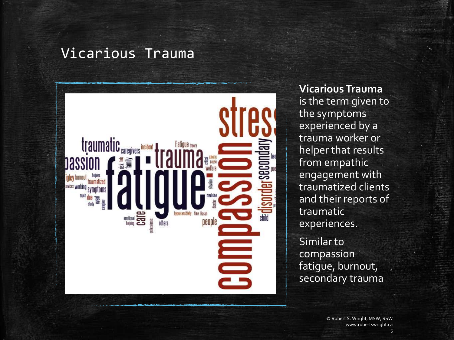#### Vicarious Trauma



**Vicarious Trauma** is the term given to the symptoms experienced by a trauma worker or helper that results from empathic engagement with traumatized clients and their reports of traumatic experiences.

Similar to compassion fatigue, burnout, secondary trauma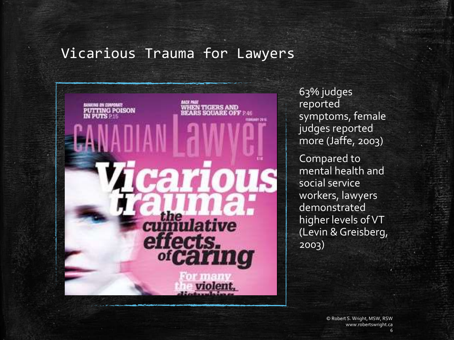# Vicarious Trauma for Lawyers



63% judges reported symptoms, female judges reported more (Jaffe, 2003) Compared to mental health and social service workers, lawyers demonstrated higher levels of VT (Levin & Greisberg, 2003)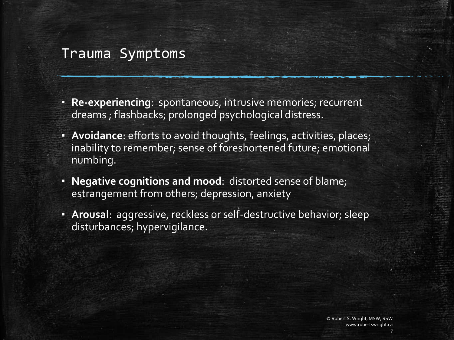#### Trauma Symptoms

- **Re-experiencing**: spontaneous, intrusive memories; recurrent dreams ; flashbacks; prolonged psychological distress.
- **Avoidance**: efforts to avoid thoughts, feelings, activities, places; inability to remember; sense of foreshortened future; emotional numbing.
- **Negative cognitions and mood**: distorted sense of blame; estrangement from others; depression, anxiety
- **Arousal**: aggressive, reckless or self-destructive behavior; sleep disturbances; hypervigilance.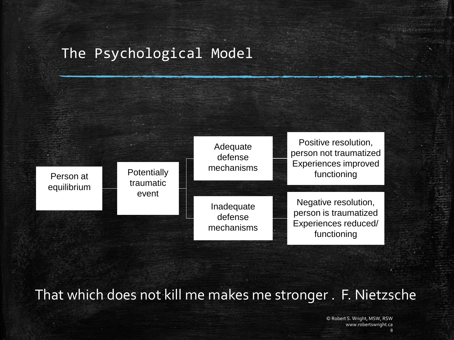# The Psychological Model



That which does not kill me makes me stronger . F. Nietzsche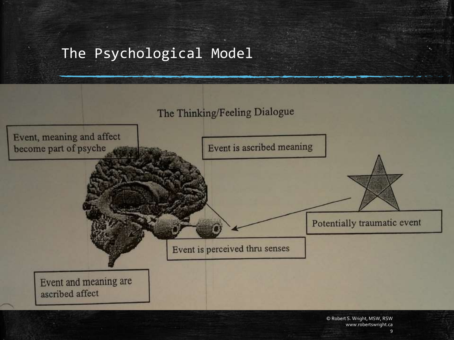# The Psychological Model

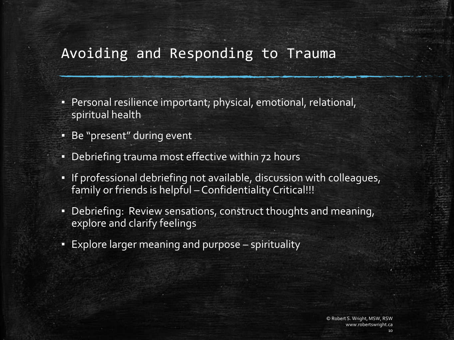# Avoiding and Responding to Trauma

- Personal resilience important; physical, emotional, relational, spiritual health
- Be "present" during event
- Debriefing trauma most effective within 72 hours
- If professional debriefing not available, discussion with colleagues, family or friends is helpful – Confidentiality Critical!!!
- Debriefing: Review sensations, construct thoughts and meaning, explore and clarify feelings
- Explore larger meaning and purpose spirituality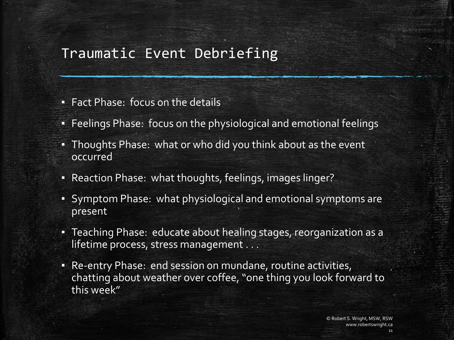### Traumatic Event Debriefing

- Fact Phase: focus on the details
- Feelings Phase: focus on the physiological and emotional feelings
- Thoughts Phase: what or who did you think about as the event occurred
- Reaction Phase: what thoughts, feelings, images linger?
- Symptom Phase: what physiological and emotional symptoms are present
- Teaching Phase: educate about healing stages, reorganization as a lifetime process, stress management . . .
- Re-entry Phase: end session on mundane, routine activities, chatting about weather over coffee, "one thing you look forward to this week"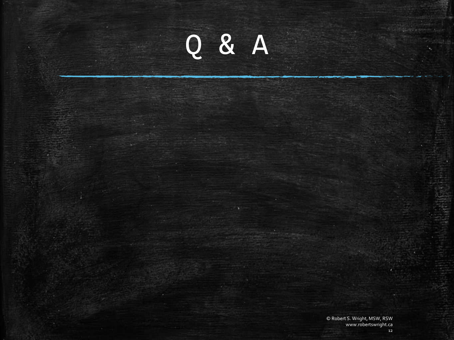